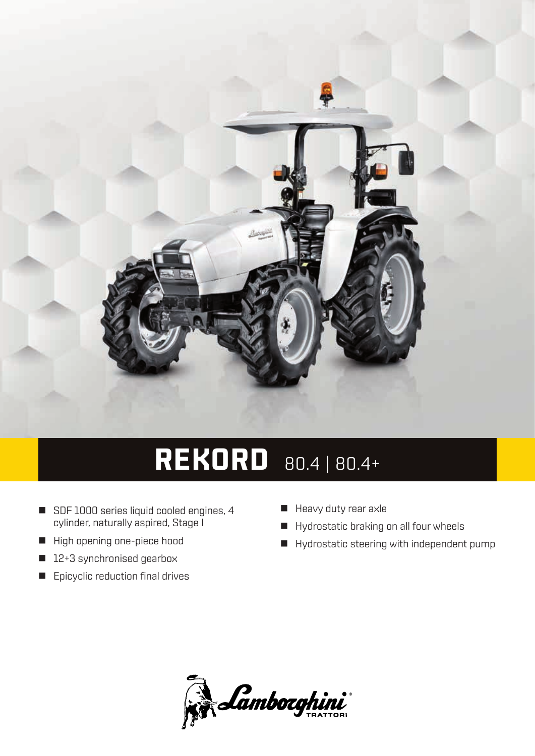

## **REKORD** 80.4 | 80.4+

- SDF 1000 series liquid cooled engines, 4 cylinder, naturally aspired, Stage I
- High opening one-piece hood
- 12+3 synchronised gearbox
- **E** Epicyclic reduction final drives
- Heavy duty rear axle
- Hydrostatic braking on all four wheels
- Hydrostatic steering with independent pump